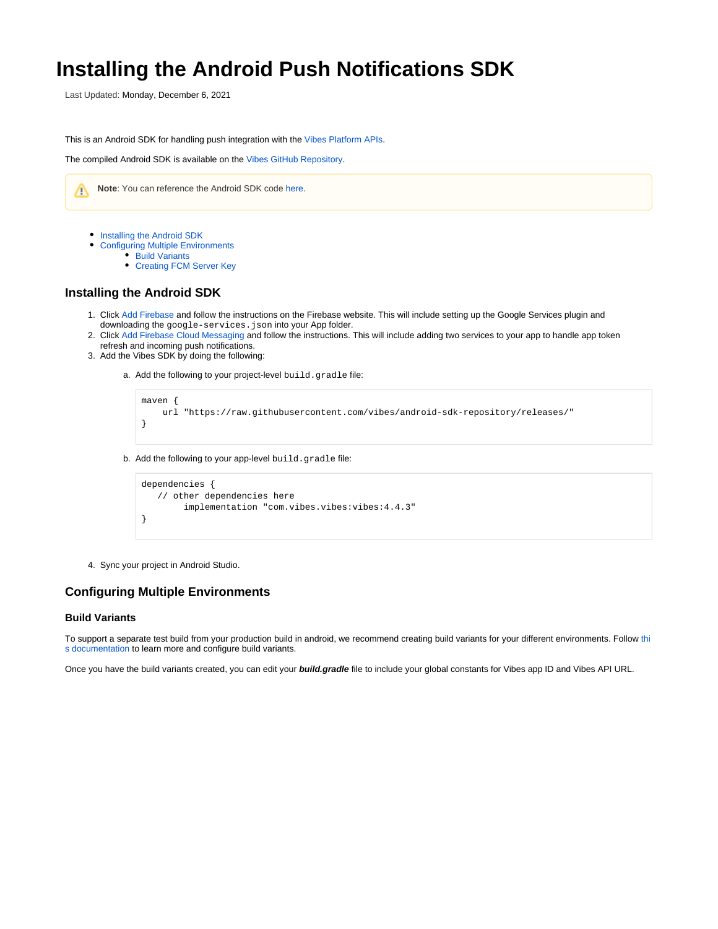# **Installing the Android Push Notifications SDK**

Last Updated: Monday, December 6, 2021

This is an Android SDK for handling push integration with the [Vibes Platform APIs](https://developer.vibes.com/display/APIs/APIs+and+Callbacks).

The compiled Android SDK is available on the [Vibes GitHub Repository](https://github.com/vibes/android-sdk-repository).



- [Installing the Android SDK](#page-0-0)
	- [Configuring Multiple Environments](#page-0-1) 
		- [Build Variants](#page-0-2)
		- [Creating FCM Server Key](#page-1-0)

## <span id="page-0-0"></span>**Installing the Android SDK**

- 1. Click [Add Firebase](https://firebase.google.com/docs/android/setup) and follow the instructions on the Firebase website. This will include setting up the Google Services plugin and downloading the google-services.json into your App folder.
- 2. Click [Add Firebase Cloud Messaging](https://firebase.google.com/docs/cloud-messaging/android/client#set-up-firebase-and-the-fcm-sdk) and follow the instructions. This will include adding two services to your app to handle app token refresh and incoming push notifications.
- 3. Add the Vibes SDK by doing the following:

a. Add the following to your project-level build.gradle file:

```
maven {
     url "https://raw.githubusercontent.com/vibes/android-sdk-repository/releases/"
}
```
b. Add the following to your app-level build.gradle file:

```
dependencies {
    // other dependencies here 
         implementation "com.vibes.vibes:vibes:4.4.3"
}
```
4. Sync your project in Android Studio.

# <span id="page-0-1"></span>**Configuring Multiple Environments**

#### <span id="page-0-2"></span>**Build Variants**

To support a separate test build from your production build in android, we recommend creating build variants for your different environments. Follow [thi](https://developer.android.com/studio/build/build-variants) [s documentation](https://developer.android.com/studio/build/build-variants) to learn more and configure build variants.

Once you have the build variants created, you can edit your **build.gradle** file to include your global constants for Vibes app ID and Vibes API URL.